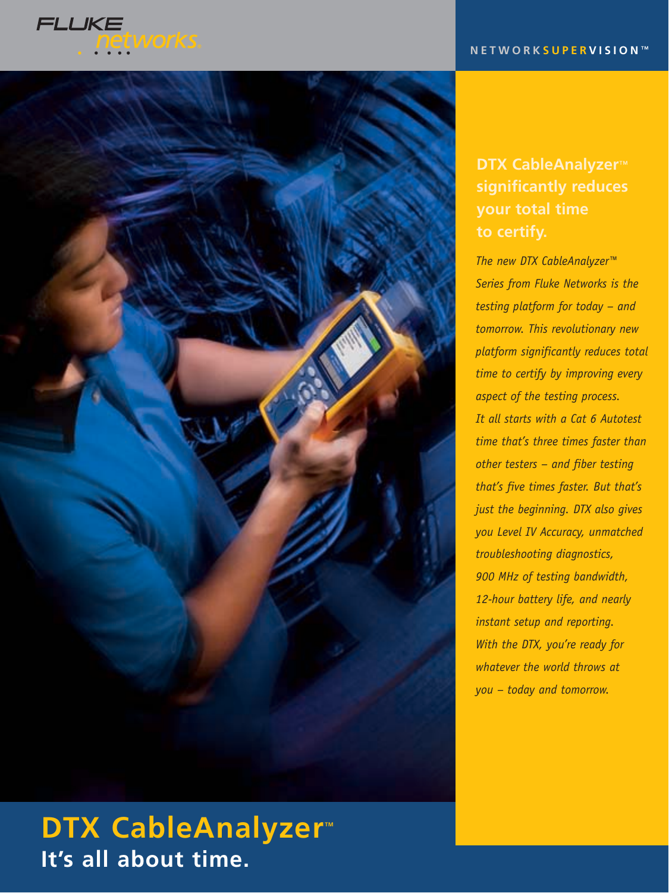



# **DTX CableAnalyzer**<sup>™</sup> **It's all about time.**

## **DTX CableAnalyzer**™ **significantly reduces your total time to certify.**

*The new DTX CableAnalyzer™ Series from Fluke Networks is the testing platform for today – and tomorrow. This revolutionary new platform significantly reduces total time to certify by improving every aspect of the testing process. It all starts with a Cat 6 Autotest time that's three times faster than other testers – and fiber testing that's five times faster. But that's just the beginning. DTX also gives you Level IV Accuracy, unmatched troubleshooting diagnostics, 900 MHz of testing bandwidth, 12-hour battery life, and nearly instant setup and reporting. With the DTX, you're ready for whatever the world throws at you – today and tomorrow.*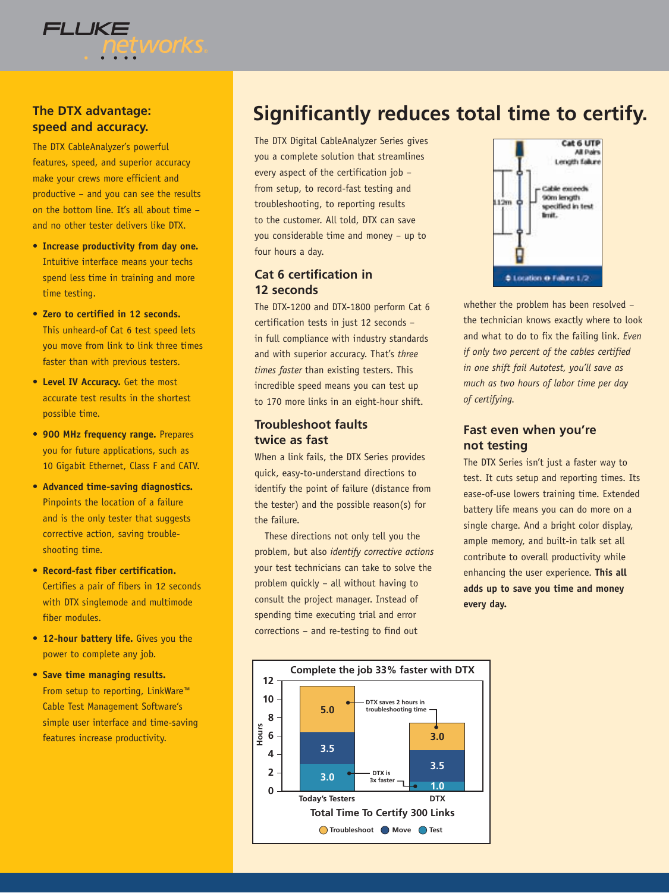

### **The DTX advantage: speed and accuracy.**

The DTX CableAnalyzer's powerful features, speed, and superior accuracy make your crews more efficient and productive – and you can see the results on the bottom line. It's all about time – and no other tester delivers like DTX.

- **Increase productivity from day one.** Intuitive interface means your techs spend less time in training and more time testing.
- **Zero to certified in 12 seconds.** This unheard-of Cat 6 test speed lets you move from link to link three times faster than with previous testers.
- **Level IV Accuracy.** Get the most accurate test results in the shortest possible time.
- **900 MHz frequency range.** Prepares you for future applications, such as 10 Gigabit Ethernet, Class F and CATV.
- **Advanced time-saving diagnostics.** Pinpoints the location of a failure and is the only tester that suggests corrective action, saving troubleshooting time.
- **Record-fast fiber certification.** Certifies a pair of fibers in 12 seconds with DTX singlemode and multimode fiber modules.
- **12-hour battery life.** Gives you the power to complete any job.
- **Save time managing results.** From setup to reporting, LinkWare™ Cable Test Management Software's simple user interface and time-saving features increase productivity.

# **Significantly reduces total time to certify.**

The DTX Digital CableAnalyzer Series gives you a complete solution that streamlines every aspect of the certification job – from setup, to record-fast testing and troubleshooting, to reporting results to the customer. All told, DTX can save you considerable time and money – up to four hours a day.

### **Cat 6 certification in 12 seconds**

The DTX-1200 and DTX-1800 perform Cat 6 certification tests in just 12 seconds – in full compliance with industry standards and with superior accuracy. That's *three times faster* than existing testers. This incredible speed means you can test up to 170 more links in an eight-hour shift.

### **Troubleshoot faults twice as fast**

When a link fails, the DTX Series provides quick, easy-to-understand directions to identify the point of failure (distance from the tester) and the possible reason(s) for the failure.

These directions not only tell you the problem, but also *identify corrective actions* your test technicians can take to solve the problem quickly – all without having to consult the project manager. Instead of spending time executing trial and error corrections – and re-testing to find out



whether the problem has been resolved – the technician knows exactly where to look and what to do to fix the failing link. *Even if only two percent of the cables certified in one shift fail Autotest, you'll save as much as two hours of labor time per day of certifying.*

#### **Fast even when you're not testing**

The DTX Series isn't just a faster way to test. It cuts setup and reporting times. Its ease-of-use lowers training time. Extended battery life means you can do more on a single charge. And a bright color display, ample memory, and built-in talk set all contribute to overall productivity while enhancing the user experience. **This all adds up to save you time and money every day.**

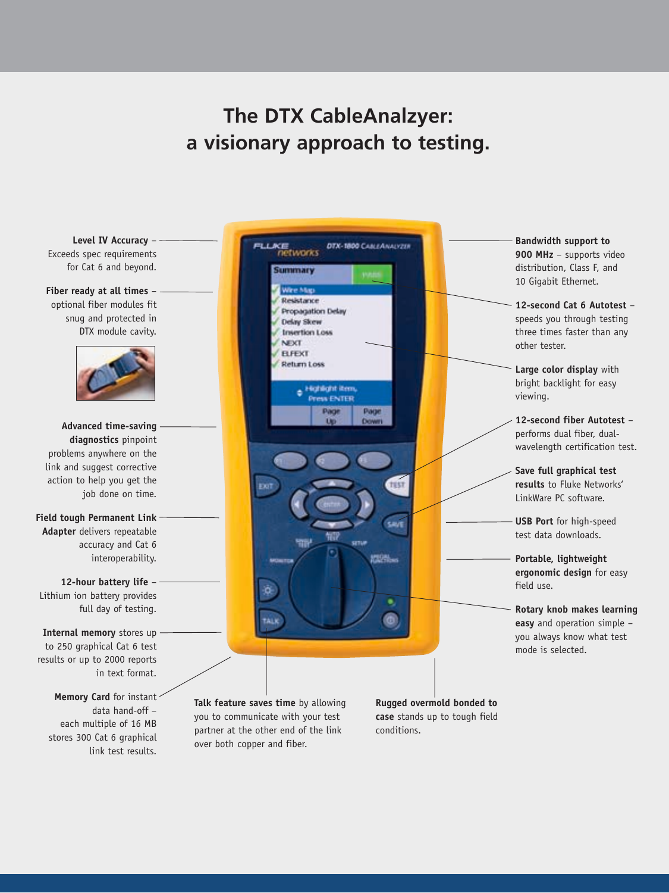# **The DTX CableAnalzyer: a visionary approach to testing.**

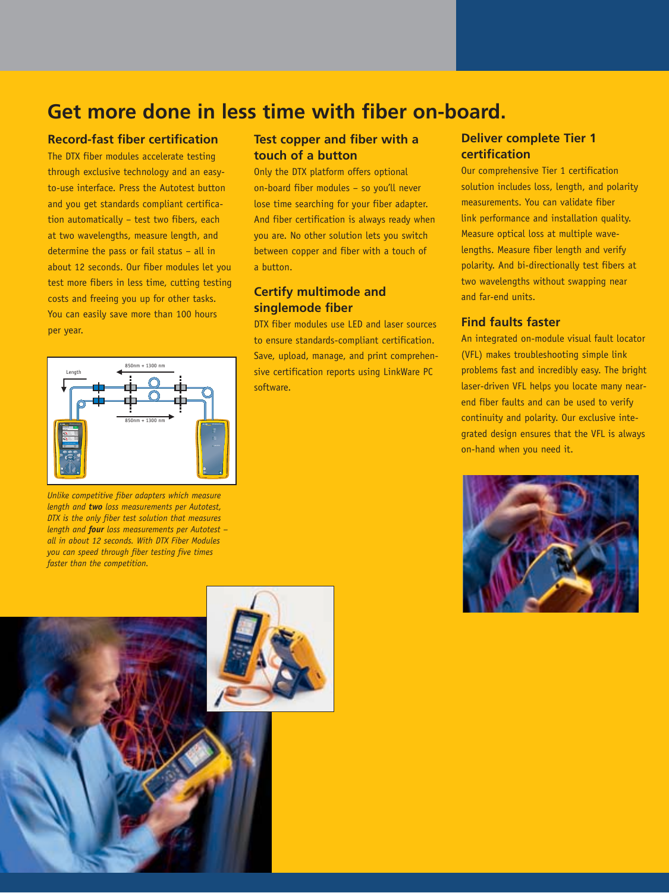# **Get more done in less time with fiber on-board.**

#### **Record-fast fiber certification**

The DTX fiber modules accelerate testing through exclusive technology and an easyto-use interface. Press the Autotest button and you get standards compliant certification automatically – test two fibers, each at two wavelengths, measure length, and determine the pass or fail status – all in about 12 seconds. Our fiber modules let you test more fibers in less time, cutting testing costs and freeing you up for other tasks. You can easily save more than 100 hours per year.



*Unlike competitive fiber adapters which measure length and two loss measurements per Autotest, DTX is the only fiber test solution that measures length and four loss measurements per Autotest – all in about 12 seconds. With DTX Fiber Modules you can speed through fiber testing five times faster than the competition.*

### **Test copper and fiber with a touch of a button**

Only the DTX platform offers optional on-board fiber modules – so you'll never lose time searching for your fiber adapter. And fiber certification is always ready when you are. No other solution lets you switch between copper and fiber with a touch of a button.

### **Certify multimode and singlemode fiber**

DTX fiber modules use LED and laser sources to ensure standards-compliant certification. Save, upload, manage, and print comprehensive certification reports using LinkWare PC software.

#### **Deliver complete Tier 1 certification**

Our comprehensive Tier 1 certification solution includes loss, length, and polarity measurements. You can validate fiber link performance and installation quality. Measure optical loss at multiple wavelengths. Measure fiber length and verify polarity. And bi-directionally test fibers at two wavelengths without swapping near and far-end units.

#### **Find faults faster**

An integrated on-module visual fault locator (VFL) makes troubleshooting simple link problems fast and incredibly easy. The bright laser-driven VFL helps you locate many nearend fiber faults and can be used to verify continuity and polarity. Our exclusive integrated design ensures that the VFL is always on-hand when you need it.

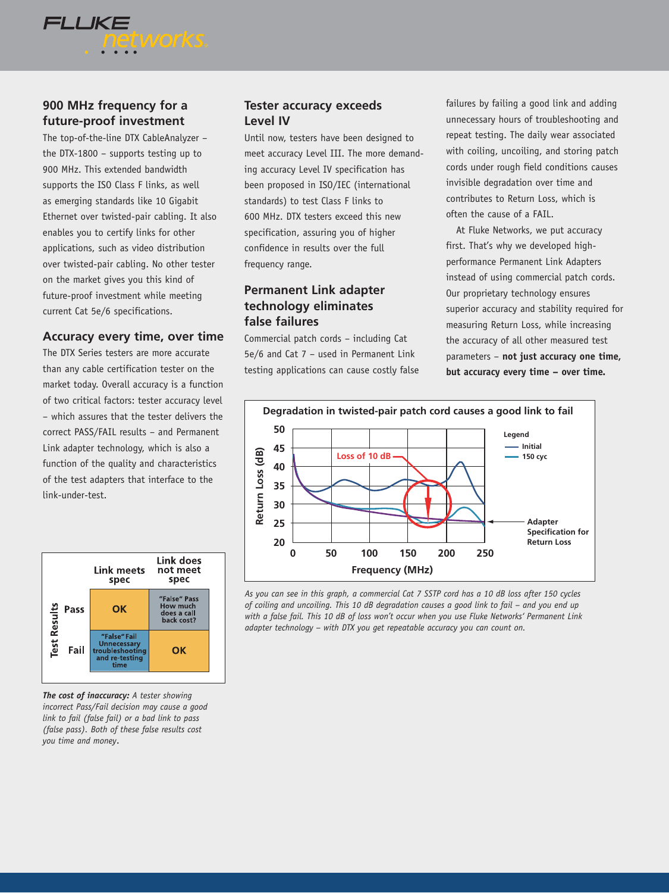### **900 MHz frequency for a future-proof investment**

**etworks** 

**FLUKE** 

The top-of-the-line DTX CableAnalyzer – the DTX-1800 – supports testing up to 900 MHz. This extended bandwidth supports the ISO Class F links, as well as emerging standards like 10 Gigabit Ethernet over twisted-pair cabling. It also enables you to certify links for other applications, such as video distribution over twisted-pair cabling. No other tester on the market gives you this kind of future-proof investment while meeting current Cat 5e/6 specifications.

#### **Accuracy every time, over time**

The DTX Series testers are more accurate than any cable certification tester on the market today. Overall accuracy is a function of two critical factors: tester accuracy level – which assures that the tester delivers the correct PASS/FAIL results – and Permanent Link adapter technology, which is also a function of the quality and characteristics of the test adapters that interface to the link-under-test.



*The cost of inaccuracy: A tester showing incorrect Pass/Fail decision may cause a good link to fail (false fail) or a bad link to pass (false pass). Both of these false results cost you time and money*.

#### **Tester accuracy exceeds Level IV**

Until now, testers have been designed to meet accuracy Level III. The more demanding accuracy Level IV specification has been proposed in ISO/IEC (international standards) to test Class F links to 600 MHz. DTX testers exceed this new specification, assuring you of higher confidence in results over the full frequency range.

#### **Permanent Link adapter technology eliminates false failures**

Commercial patch cords – including Cat 5e/6 and Cat 7 – used in Permanent Link testing applications can cause costly false failures by failing a good link and adding unnecessary hours of troubleshooting and repeat testing. The daily wear associated with coiling, uncoiling, and storing patch cords under rough field conditions causes invisible degradation over time and contributes to Return Loss, which is often the cause of a FAIL.

At Fluke Networks, we put accuracy first. That's why we developed highperformance Permanent Link Adapters instead of using commercial patch cords. Our proprietary technology ensures superior accuracy and stability required for measuring Return Loss, while increasing the accuracy of all other measured test parameters – **not just accuracy one time, but accuracy every time – over time.**



*As you can see in this graph, a commercial Cat 7 SSTP cord has a 10 dB loss after 150 cycles of coiling and uncoiling. This 10 dB degradation causes a good link to fail – and you end up with a false fail. This 10 dB of loss won't occur when you use Fluke Networks' Permanent Link adapter technology – with DTX you get repeatable accuracy you can count on.*